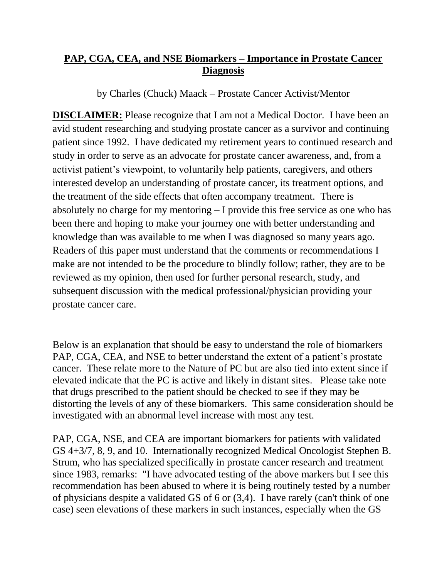## **PAP, CGA, CEA, and NSE Biomarkers – Importance in Prostate Cancer Diagnosis**

by Charles (Chuck) Maack – Prostate Cancer Activist/Mentor

**DISCLAIMER:** Please recognize that I am not a Medical Doctor. I have been an avid student researching and studying prostate cancer as a survivor and continuing patient since 1992. I have dedicated my retirement years to continued research and study in order to serve as an advocate for prostate cancer awareness, and, from a activist patient's viewpoint, to voluntarily help patients, caregivers, and others interested develop an understanding of prostate cancer, its treatment options, and the treatment of the side effects that often accompany treatment. There is absolutely no charge for my mentoring – I provide this free service as one who has been there and hoping to make your journey one with better understanding and knowledge than was available to me when I was diagnosed so many years ago. Readers of this paper must understand that the comments or recommendations I make are not intended to be the procedure to blindly follow; rather, they are to be reviewed as my opinion, then used for further personal research, study, and subsequent discussion with the medical professional/physician providing your prostate cancer care.

Below is an explanation that should be easy to understand the role of biomarkers PAP, CGA, CEA, and NSE to better understand the extent of a patient's prostate cancer. These relate more to the Nature of PC but are also tied into extent since if elevated indicate that the PC is active and likely in distant sites. Please take note that drugs prescribed to the patient should be checked to see if they may be distorting the levels of any of these biomarkers. This same consideration should be investigated with an abnormal level increase with most any test.

PAP, CGA, NSE, and CEA are important biomarkers for patients with validated GS 4+3/7, 8, 9, and 10. Internationally recognized Medical Oncologist Stephen B. Strum, who has specialized specifically in prostate cancer research and treatment since 1983, remarks: "I have advocated testing of the above markers but I see this recommendation has been abused to where it is being routinely tested by a number of physicians despite a validated GS of 6 or (3,4). I have rarely (can't think of one case) seen elevations of these markers in such instances, especially when the GS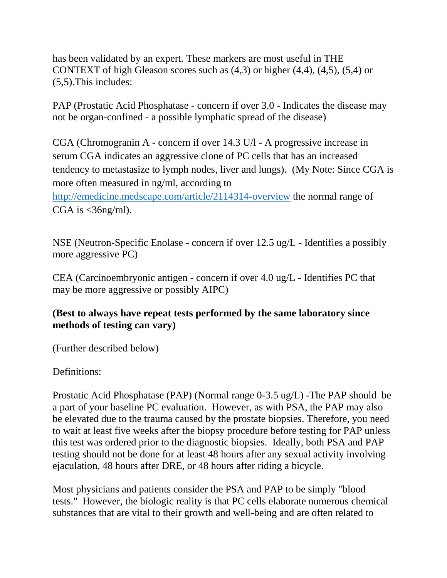has been validated by an expert. These markers are most useful in THE CONTEXT of high Gleason scores such as  $(4,3)$  or higher  $(4,4)$ ,  $(4,5)$ ,  $(5,4)$  or (5,5).This includes:

PAP (Prostatic Acid Phosphatase - concern if over 3.0 - Indicates the disease may not be organ-confined - a possible lymphatic spread of the disease)

CGA (Chromogranin A - concern if over 14.3 U/l - A progressive increase in serum CGA indicates an aggressive clone of PC cells that has an increased tendency to metastasize to lymph nodes, liver and lungs). (My Note: Since CGA is more often measured in ng/ml, according to <http://emedicine.medscape.com/article/2114314-overview> the normal range of CGA is  $\langle$ 36ng/ml).

NSE (Neutron-Specific Enolase - concern if over 12.5 ug/L - Identifies a possibly more aggressive PC)

CEA (Carcinoembryonic antigen - concern if over 4.0 ug/L - Identifies PC that may be more aggressive or possibly AIPC)

## **(Best to always have repeat tests performed by the same laboratory since methods of testing can vary)**

(Further described below)

Definitions:

Prostatic Acid Phosphatase (PAP) (Normal range 0-3.5 ug/L) -The PAP should be a part of your baseline PC evaluation. However, as with PSA, the PAP may also be elevated due to the trauma caused by the prostate biopsies. Therefore, you need to wait at least five weeks after the biopsy procedure before testing for PAP unless this test was ordered prior to the diagnostic biopsies. Ideally, both PSA and PAP testing should not be done for at least 48 hours after any sexual activity involving ejaculation, 48 hours after DRE, or 48 hours after riding a bicycle.

Most physicians and patients consider the PSA and PAP to be simply "blood tests." However, the biologic reality is that PC cells elaborate numerous chemical substances that are vital to their growth and well-being and are often related to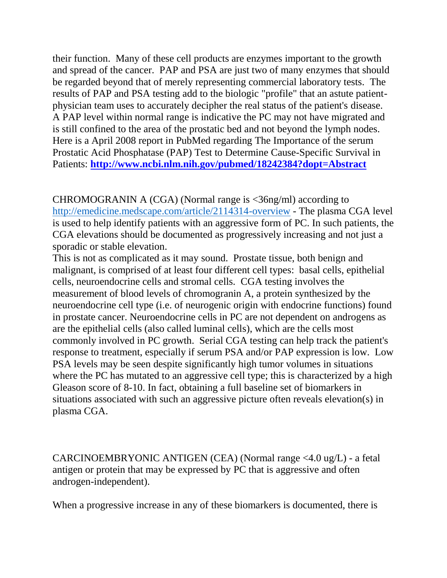their function. Many of these cell products are enzymes important to the growth and spread of the cancer. PAP and PSA are just two of many enzymes that should be regarded beyond that of merely representing commercial laboratory tests. The results of PAP and PSA testing add to the biologic "profile" that an astute patientphysician team uses to accurately decipher the real status of the patient's disease. A PAP level within normal range is indicative the PC may not have migrated and is still confined to the area of the prostatic bed and not beyond the lymph nodes. Here is a April 2008 report in PubMed regarding The Importance of the serum Prostatic Acid Phosphatase (PAP) Test to Determine Cause-Specific Survival in Patients: **<http://www.ncbi.nlm.nih.gov/pubmed/18242384?dopt=Abstract>**

CHROMOGRANIN A (CGA) (Normal range is <36ng/ml) according to <http://emedicine.medscape.com/article/2114314-overview> - The plasma CGA level is used to help identify patients with an aggressive form of PC. In such patients, the CGA elevations should be documented as progressively increasing and not just a sporadic or stable elevation.

This is not as complicated as it may sound. Prostate tissue, both benign and malignant, is comprised of at least four different cell types: basal cells, epithelial cells, neuroendocrine cells and stromal cells. CGA testing involves the measurement of blood levels of chromogranin A, a protein synthesized by the neuroendocrine cell type (i.e. of neurogenic origin with endocrine functions) found in prostate cancer. Neuroendocrine cells in PC are not dependent on androgens as are the epithelial cells (also called luminal cells), which are the cells most commonly involved in PC growth. Serial CGA testing can help track the patient's response to treatment, especially if serum PSA and/or PAP expression is low. Low PSA levels may be seen despite significantly high tumor volumes in situations where the PC has mutated to an aggressive cell type; this is characterized by a high Gleason score of 8-10. In fact, obtaining a full baseline set of biomarkers in situations associated with such an aggressive picture often reveals elevation(s) in plasma CGA.

CARCINOEMBRYONIC ANTIGEN (CEA) (Normal range <4.0 ug/L) - a fetal antigen or protein that may be expressed by PC that is aggressive and often androgen-independent).

When a progressive increase in any of these biomarkers is documented, there is